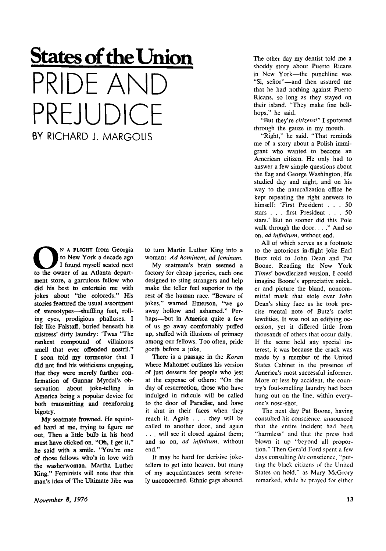## **States of the Union**  PRIDE ANT PREJUDICE BY RICHARD J. MARGOLIS

N A FLIGHT from Georgia<br>to New York a decade ago<br>to the owner of an Atlanta depart-N A FLIGHT from Georgia to New York a decade ago I found myself seated next ment store, a garrulous fellow who did his best to entertain me with jokes about "the coloreds." His stories featured the usual assortment of stereotypes—shuffling feet, rolling eyes, prodigious phalluses. I felt like Falstaff, buried beneath his mistress' dirty laundry: 'Twas "The rankest compound of villainous smell that ever offended nostril." I soon told my tormentor that I did not find his witticisms engaging, that they were merely further confirmation of Gunnar Myrdal's observation about joke-telling in America being a popular device for both transmitting and reenforcing bigotry.

My seatmate frowned. He squinted hard at me, trying to figure me out. Then a little bulb in his head must have clicked on. "Oh, I get it," he said with a smile. "You're one of those fellows who's in love with the washerwoman, Martha Luther King." Feminists will note that this man's idea of The Ultimate Jibe was to turn Martin Luther King into a woman: *Ad hominem, ad feminam.* 

My seatmate's brain seemed a factory for oheap japeries, each one designed to sting strangers and help make the teller feel superior to the rest of the human race. "Beware of jokes," warned Emerson, "we go away hollow and ashamed." Perhaps—but in America quite a few of us go away comfortably puffed up, stuffed with illusions of primacy among our fellows. Too often, pride goeth before a joke.

There is a passage in the *Koran*  where Mahomet outlines his version of just desserts for people who jest at the expense of others: "On the day of resurrection, those who have indulged in ridicule will be called to the door of Paradise, and have it shut in their faces when they reach it. Again . . . they will be called to another door, and again . . . will see it closed against them; and so on, *ad infinitum,* without end."

It may be hard for derisive joketellers to get into heaven, but many of my acquaintances seem serenely unconcerned. Ethnic gags abound. The other day my dentist told me a shoddy story about Puerto Ricans in New York—the punchline was "Si, señor"-and then assured me that he had nothing against Puerto Ricans, so long as they stayed on their island. "They make fine bellhops," he said.

"But they're *citizens!"* I sputtered through the gauze in my mouth.

"Right," he said. "That reminds me of a story about a Polish immigrant who wanted to become an Amerioan citizen. He only had to answer a few simple questions about the flag and George Washington. He studied day and night, and on his way to the naturalization office he kept repeating the right answers to himself: 'First President .. . 50 stars . . . first President .. . 50 stars.' But no sooner did this Pole walk through the door. . . ." And so on, *ad infinitum,* without end.

All of which serves as a footnote to the notorious in-flight joke Earl Butz told to John Dean and Pat Boone. Reading the New York *Times'* bowdlerized version, I could imagine Boone's appreciative snicker and picture the bland, noncommittal mask that stole over John Dean's shiny face as he took precise mental note of Butz's racist lewdities. It was not an edifying occasion, yet it differed little from thousands of others that occur daily. If the scene held any special interest, it was because the crack was made by a member of the United States Cabinet in the presence of America's most successful informer. More or less by accident, the country's foul-smelling laundry had been hung out on the line, within everyone's nose-shot.

The next day Pat Boone, having consulted his conscience, announced that the entire incident had been "harmless" and that the press had blown it up "beyond all proportion." Then Gerald Ford spent a few days consulting *his* conscience, "putting the black citizens of the United States on hold," as Mary McGrory remarked, while he prayed for either